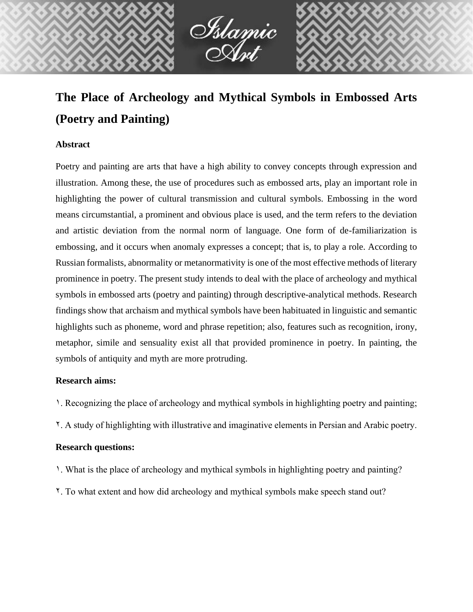

# **The Place of Archeology and Mythical Symbols in Embossed Arts (Poetry and Painting)**

# **Abstract**

Poetry and painting are arts that have a high ability to convey concepts through expression and illustration. Among these, the use of procedures such as embossed arts, play an important role in highlighting the power of cultural transmission and cultural symbols. Embossing in the word means circumstantial, a prominent and obvious place is used, and the term refers to the deviation and artistic deviation from the normal norm of language. One form of de-familiarization is embossing, and it occurs when anomaly expresses a concept; that is, to play a role. According to Russian formalists, abnormality or metanormativity is one of the most effective methods of literary prominence in poetry. The present study intends to deal with the place of archeology and mythical symbols in embossed arts (poetry and painting) through descriptive-analytical methods. Research findings show that archaism and mythical symbols have been habituated in linguistic and semantic highlights such as phoneme, word and phrase repetition; also, features such as recognition, irony, metaphor, simile and sensuality exist all that provided prominence in poetry. In painting, the symbols of antiquity and myth are more protruding.

## **Research aims:**

- 1. Recognizing the place of archeology and mythical symbols in highlighting poetry and painting;
- 2. A study of highlighting with illustrative and imaginative elements in Persian and Arabic poetry.

# **Research questions:**

- 1. What is the place of archeology and mythical symbols in highlighting poetry and painting?
- 2. To what extent and how did archeology and mythical symbols make speech stand out?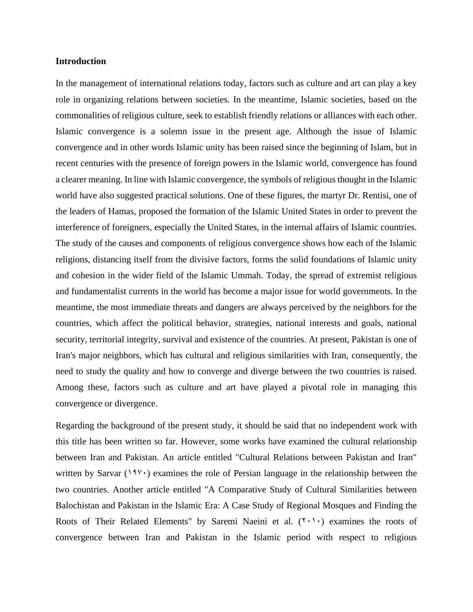#### **Introduction**

In the management of international relations today, factors such as culture and art can play a key role in organizing relations between societies. In the meantime, Islamic societies, based on the commonalities of religious culture, seek to establish friendly relations or alliances with each other. Islamic convergence is a solemn issue in the present age. Although the issue of Islamic convergence and in other words Islamic unity has been raised since the beginning of Islam, but in recent centuries with the presence of foreign powers in the Islamic world, convergence has found a clearer meaning. In line with Islamic convergence, the symbols of religious thought in the Islamic world have also suggested practical solutions. One of these figures, the martyr Dr. Rentisi, one of the leaders of Hamas, proposed the formation of the Islamic United States in order to prevent the interference of foreigners, especially the United States, in the internal affairs of Islamic countries. The study of the causes and components of religious convergence shows how each of the Islamic religions, distancing itself from the divisive factors, forms the solid foundations of Islamic unity and cohesion in the wider field of the Islamic Ummah. Today, the spread of extremist religious and fundamentalist currents in the world has become a major issue for world governments. In the meantime, the most immediate threats and dangers are always perceived by the neighbors for the countries, which affect the political behavior, strategies, national interests and goals, national security, territorial integrity, survival and existence of the countries. At present, Pakistan is one of Iran's major neighbors, which has cultural and religious similarities with Iran, consequently, the need to study the quality and how to converge and diverge between the two countries is raised. Among these, factors such as culture and art have played a pivotal role in managing this convergence or divergence.

Regarding the background of the present study, it should be said that no independent work with this title has been written so far. However, some works have examined the cultural relationship between Iran and Pakistan. An article entitled "Cultural Relations between Pakistan and Iran" written by Sarvar (1986) examines the role of Persian language in the relationship between the two countries. Another article entitled "A Comparative Study of Cultural Similarities between Balochistan and Pakistan in the Islamic Era: A Case Study of Regional Mosques and Finding the Roots of Their Related Elements" by Saremi Naeini et al.  $(1, 1)$  examines the roots of convergence between Iran and Pakistan in the Islamic period with respect to religious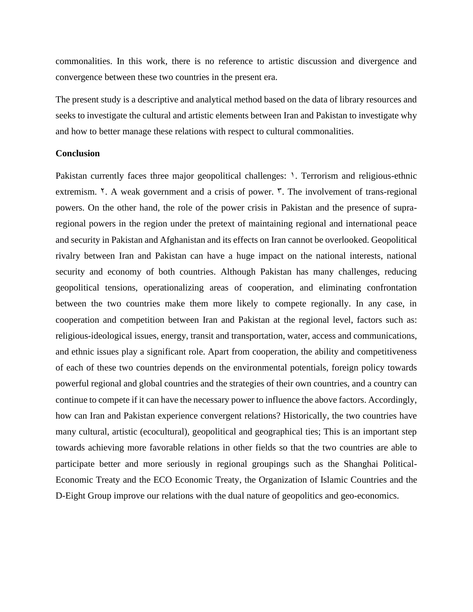commonalities. In this work, there is no reference to artistic discussion and divergence and convergence between these two countries in the present era.

The present study is a descriptive and analytical method based on the data of library resources and seeks to investigate the cultural and artistic elements between Iran and Pakistan to investigate why and how to better manage these relations with respect to cultural commonalities.

#### **Conclusion**

Pakistan currently faces three major geopolitical challenges:  $\lambda$ . Terrorism and religious-ethnic extremism.  $\zeta$ . A weak government and a crisis of power.  $\zeta$ . The involvement of trans-regional powers. On the other hand, the role of the power crisis in Pakistan and the presence of supraregional powers in the region under the pretext of maintaining regional and international peace and security in Pakistan and Afghanistan and its effects on Iran cannot be overlooked. Geopolitical rivalry between Iran and Pakistan can have a huge impact on the national interests, national security and economy of both countries. Although Pakistan has many challenges, reducing geopolitical tensions, operationalizing areas of cooperation, and eliminating confrontation between the two countries make them more likely to compete regionally. In any case, in cooperation and competition between Iran and Pakistan at the regional level, factors such as: religious-ideological issues, energy, transit and transportation, water, access and communications, and ethnic issues play a significant role. Apart from cooperation, the ability and competitiveness of each of these two countries depends on the environmental potentials, foreign policy towards powerful regional and global countries and the strategies of their own countries, and a country can continue to compete if it can have the necessary power to influence the above factors. Accordingly, how can Iran and Pakistan experience convergent relations? Historically, the two countries have many cultural, artistic (ecocultural), geopolitical and geographical ties; This is an important step towards achieving more favorable relations in other fields so that the two countries are able to participate better and more seriously in regional groupings such as the Shanghai Political-Economic Treaty and the ECO Economic Treaty, the Organization of Islamic Countries and the D-Eight Group improve our relations with the dual nature of geopolitics and geo-economics.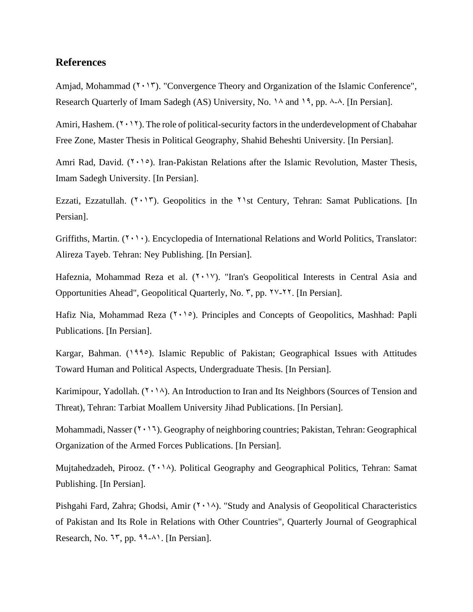## **References**

Amjad, Mohammad  $(2 \cdot 17)$ . "Convergence Theory and Organization of the Islamic Conference", Research Quarterly of Imam Sadegh (AS) University, No.  $1\text{A}$  and  $1\text{A}$ , pp. 8-8. [In Persian].

Amiri, Hashem.  $(1 \cdot 1)$ . The role of political-security factors in the underdevelopment of Chabahar Free Zone, Master Thesis in Political Geography, Shahid Beheshti University. [In Persian].

Amri Rad, David.  $(7 \cdot 1)$ . Iran-Pakistan Relations after the Islamic Revolution, Master Thesis, Imam Sadegh University. [In Persian].

Ezzati, Ezzatullah.  $(2.15)$ . Geopolitics in the  $21$ st Century, Tehran: Samat Publications. [In Persian].

Griffiths, Martin.  $(7 \cdot 1)$ . Encyclopedia of International Relations and World Politics, Translator: Alireza Tayeb. Tehran: Ney Publishing. [In Persian].

Hafeznia, Mohammad Reza et al. (7,17). "Iran's Geopolitical Interests in Central Asia and Opportunities Ahead", Geopolitical Quarterly, No.  $\tilde{r}$ , pp.  $\tilde{y}$  /\*- $\tilde{y}$ . [In Persian].

Hafiz Nia, Mohammad Reza  $(1 \cdot 1)$ . Principles and Concepts of Geopolitics, Mashhad: Papli Publications. [In Persian].

Kargar, Bahman. (1990). Islamic Republic of Pakistan; Geographical Issues with Attitudes Toward Human and Political Aspects, Undergraduate Thesis. [In Persian].

Karimipour, Yadollah.  $(Y \cdot N)$ . An Introduction to Iran and Its Neighbors (Sources of Tension and Threat), Tehran: Tarbiat Moallem University Jihad Publications. [In Persian].

Mohammadi, Nasser  $(7 \cdot 17)$ . Geography of neighboring countries; Pakistan, Tehran: Geographical Organization of the Armed Forces Publications. [In Persian].

Mujtahedzadeh, Pirooz.  $(1 \cdot 1)$ . Political Geography and Geographical Politics, Tehran: Samat Publishing. [In Persian].

Pishgahi Fard, Zahra; Ghodsi, Amir  $(2.14)$ . "Study and Analysis of Geopolitical Characteristics of Pakistan and Its Role in Relations with Other Countries", Quarterly Journal of Geographical Research, No.  $\mathbb{R}^n$ , pp.  $\mathbb{R}^n$ . [In Persian].